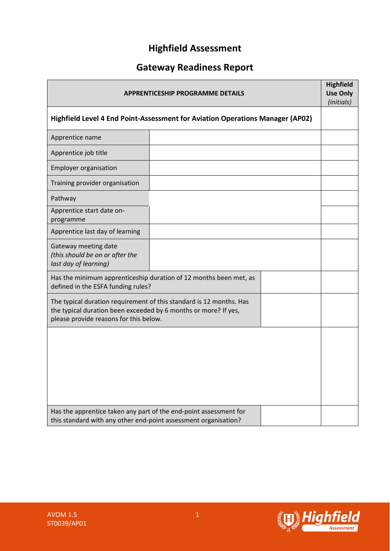# **Highfield Assessment**

# **Gateway Readiness Report**

| <b>APPRENTICESHIP PROGRAMME DETAILS</b>                                                                                                                                          |  |  |  |
|----------------------------------------------------------------------------------------------------------------------------------------------------------------------------------|--|--|--|
| Highfield Level 4 End Point-Assessment for Aviation Operations Manager (AP02)                                                                                                    |  |  |  |
| Apprentice name                                                                                                                                                                  |  |  |  |
| Apprentice job title                                                                                                                                                             |  |  |  |
| <b>Employer organisation</b>                                                                                                                                                     |  |  |  |
| Training provider organisation                                                                                                                                                   |  |  |  |
| Pathway                                                                                                                                                                          |  |  |  |
| Apprentice start date on-<br>programme                                                                                                                                           |  |  |  |
| Apprentice last day of learning                                                                                                                                                  |  |  |  |
| Gateway meeting date<br>(this should be on or after the<br>last day of learning)                                                                                                 |  |  |  |
| Has the minimum apprenticeship duration of 12 months been met, as<br>defined in the ESFA funding rules?                                                                          |  |  |  |
| The typical duration requirement of this standard is 12 months. Has<br>the typical duration been exceeded by 6 months or more? If yes,<br>please provide reasons for this below. |  |  |  |
|                                                                                                                                                                                  |  |  |  |
| Has the apprentice taken any part of the end-point assessment for<br>this standard with any other end-point assessment organisation?                                             |  |  |  |

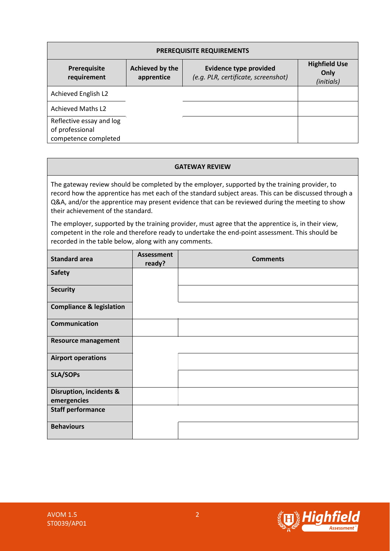| PREREQUISITE REQUIREMENTS                                           |                               |                                            |  |  |
|---------------------------------------------------------------------|-------------------------------|--------------------------------------------|--|--|
| Prerequisite<br>requirement                                         | Achieved by the<br>apprentice | <b>Highfield Use</b><br>Only<br>(initials) |  |  |
| Achieved English L2                                                 |                               |                                            |  |  |
| <b>Achieved Maths L2</b>                                            |                               |                                            |  |  |
| Reflective essay and log<br>of professional<br>competence completed |                               |                                            |  |  |

#### **GATEWAY REVIEW**

The gateway review should be completed by the employer, supported by the training provider, to record how the apprentice has met each of the standard subject areas. This can be discussed through a Q&A, and/or the apprentice may present evidence that can be reviewed during the meeting to show their achievement of the standard.

The employer, supported by the training provider, must agree that the apprentice is, in their view, competent in the role and therefore ready to undertake the end-point assessment. This should be recorded in the table below, along with any comments.

| <b>Standard area</b>                              | <b>Assessment</b><br>ready? | <b>Comments</b> |
|---------------------------------------------------|-----------------------------|-----------------|
| <b>Safety</b>                                     |                             |                 |
| <b>Security</b>                                   |                             |                 |
| <b>Compliance &amp; legislation</b>               |                             |                 |
| <b>Communication</b>                              |                             |                 |
| <b>Resource management</b>                        |                             |                 |
| <b>Airport operations</b>                         |                             |                 |
| <b>SLA/SOPs</b>                                   |                             |                 |
| <b>Disruption, incidents &amp;</b><br>emergencies |                             |                 |
| <b>Staff performance</b>                          |                             |                 |
| <b>Behaviours</b>                                 |                             |                 |

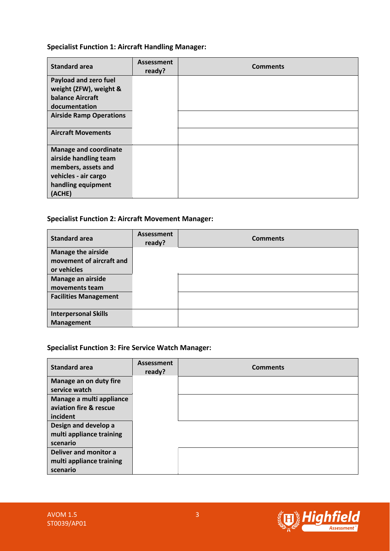## **Specialist Function 1: Aircraft Handling Manager:**

| <b>Standard area</b>           | <b>Assessment</b><br>ready? | <b>Comments</b> |
|--------------------------------|-----------------------------|-----------------|
| Payload and zero fuel          |                             |                 |
| weight (ZFW), weight &         |                             |                 |
| balance Aircraft               |                             |                 |
| documentation                  |                             |                 |
| <b>Airside Ramp Operations</b> |                             |                 |
|                                |                             |                 |
| <b>Aircraft Movements</b>      |                             |                 |
| <b>Manage and coordinate</b>   |                             |                 |
| airside handling team          |                             |                 |
| members, assets and            |                             |                 |
| vehicles - air cargo           |                             |                 |
| handling equipment             |                             |                 |
| (ACHE)                         |                             |                 |

# **Specialist Function 2: Aircraft Movement Manager:**

| <b>Standard area</b>         | <b>Assessment</b><br>ready? | <b>Comments</b> |
|------------------------------|-----------------------------|-----------------|
| <b>Manage the airside</b>    |                             |                 |
| movement of aircraft and     |                             |                 |
| or vehicles                  |                             |                 |
| Manage an airside            |                             |                 |
| movements team               |                             |                 |
| <b>Facilities Management</b> |                             |                 |
|                              |                             |                 |
| <b>Interpersonal Skills</b>  |                             |                 |
| <b>Management</b>            |                             |                 |

## **Specialist Function 3: Fire Service Watch Manager:**

| <b>Standard area</b>     | Assessment<br>ready? | <b>Comments</b> |
|--------------------------|----------------------|-----------------|
| Manage an on duty fire   |                      |                 |
| service watch            |                      |                 |
| Manage a multi appliance |                      |                 |
| aviation fire & rescue   |                      |                 |
| incident                 |                      |                 |
| Design and develop a     |                      |                 |
| multi appliance training |                      |                 |
| scenario                 |                      |                 |
| Deliver and monitor a    |                      |                 |
| multi appliance training |                      |                 |
| scenario                 |                      |                 |

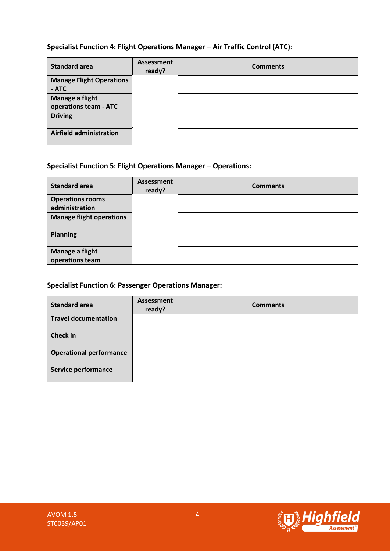# **Specialist Function 4: Flight Operations Manager – Air Traffic Control (ATC):**

| <b>Standard area</b>            | <b>Assessment</b><br>ready? | <b>Comments</b> |
|---------------------------------|-----------------------------|-----------------|
| <b>Manage Flight Operations</b> |                             |                 |
| - ATC                           |                             |                 |
| Manage a flight                 |                             |                 |
| operations team - ATC           |                             |                 |
| <b>Driving</b>                  |                             |                 |
|                                 |                             |                 |
| <b>Airfield administration</b>  |                             |                 |

# **Specialist Function 5: Flight Operations Manager – Operations:**

| <b>Standard area</b>               | Assessment<br>ready? | <b>Comments</b> |
|------------------------------------|----------------------|-----------------|
| <b>Operations rooms</b>            |                      |                 |
| administration                     |                      |                 |
| <b>Manage flight operations</b>    |                      |                 |
| <b>Planning</b>                    |                      |                 |
| Manage a flight<br>operations team |                      |                 |

# **Specialist Function 6: Passenger Operations Manager:**

| <b>Standard area</b>           | <b>Assessment</b><br>ready? | <b>Comments</b> |
|--------------------------------|-----------------------------|-----------------|
| <b>Travel documentation</b>    |                             |                 |
| <b>Check in</b>                |                             |                 |
| <b>Operational performance</b> |                             |                 |
| Service performance            |                             |                 |